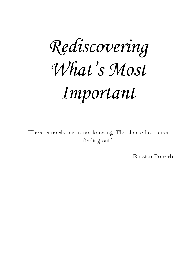# *Rediscovering What's Most Important*

"There is no shame in not knowing. The shame lies in not finding out."

Russian Proverb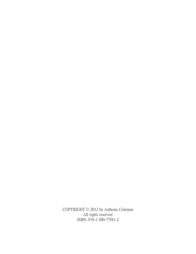COPYRIGHT © 2012 by Anthony Coleman All rights reserved ISBN: 978-1-300-77581-2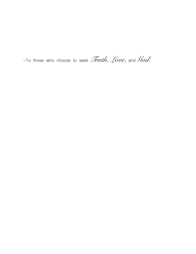-To those who choose to seek *Truth, Love,* and *God.*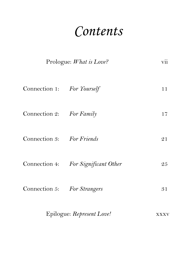## *Contents*

| Prologue: What is Love?     |                                     | vii  |
|-----------------------------|-------------------------------------|------|
| Connection 1: For Yourself  |                                     | 11   |
| Connection 2: For Family    |                                     | 17   |
| Connection 3: For Friends   |                                     | 21   |
|                             | Connection 4: For Significant Other | 25   |
| Connection 5: For Strangers |                                     | 31   |
| Epilogue: Represent Love!   |                                     | XXXV |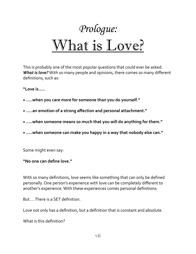

This is probably one of the most popular questions that could ever be asked: **What is love?** With so many people and opinions, there comes so many different definitions, such as:

**"Love is.....**

- .....when you care more for someone than you do yourself."
- .....an emotion of a strong affection and personal attachment."
- .....when someone means so much that you will do anything for them."
- .....when someone can make you happy in a way that nobody else can."

Some might even say:

#### **"No one can define love."**

With so many definitions, love seems like something that can only be defined personally. One person's experience with love can be completely different to another's experience. With these experiences comes personal definitions.

But.... There is a SET definition.

Love not only has a definition, but a definition that is constant and absolute.

What is this definition?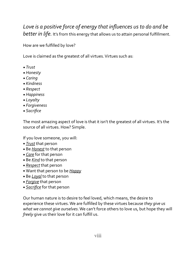#### Love is a positive force of energy that influences us to do and be *better in life.* It's from this energy that allows us to attain personal fulfillment.

How are we fulfilled by love?

Love is claimed as the greatest of all virtues. Virtues such as:

- *• Trust*
- *• Honesty*
- *• Caring*
- *• Kindness*
- *• Respect*
- *• Happiness*
- *• Loyalty*
- *• Forgiveness*
- *• Sacrifice*

The most amazing aspect of love is that it isn't the greatest of all virtues. It's the source of all virtues. How? Simple.

If you love someone, you will:

- *Trust* that person
- Be *Honest* to that person
- *Care* for that person
- Be *Kind* to that person
- *Respect* that person
- Want that person to be *Happy*
- Be *Loyal* to that person
- *Forgive* that person
- **Sacrifice** for that person

Our human nature is to desire to feel loved, which means, the desire to experience these virtues. We are fulfilled by these virtues because *they give us what* we cannot give ourselves. We can't force others to love us, but hope they will *freely* give us their love for it can fulfill us.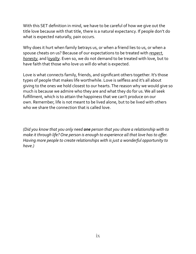With this SET definition in mind, we have to be careful of how we give out the title love because with that title, there is a natural expectancy. If people don't do what is expected naturally, pain occurs.

Why does it hurt when family betrays us, or when a friend lies to us, or when a spouse cheats on us? Because of our expectations to be treated with *respect*, *honesty*, and *loyalty*. Even so, we do not demand to be treated with love, but to have faith that those who love us will do what is expected.

Love is what connects family, friends, and significant others together. It's those types of people that makes life worthwhile. Love is selfless and it's all about giving to the ones we hold closest to our hearts. The reason why we would give so much is because we admire who they are and what they do for us. We all seek fulfillment, which is to attain the happiness that we can't produce on our own. Remember, life is not meant to be lived alone, but to be lived with others who we share the connection that is called love.

*(Did you know that you only need one person that you share a relationship with to make it through life?* One person is enough to experience all that love has to offer. *Having more people to create relationships with is just a wonderful opportunity to have.)*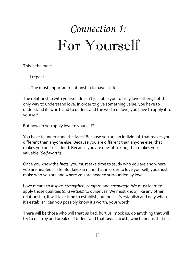## *Connection 1:* For Yourself

This is the most.......

......I repeat......

.......The most important relationship to have in life.

The relationship with yourself doesn't just able you to truly love others, but the only way to understand love. In order to give something value, you have to understand its worth and to understand the worth of love, you have to apply it to yourself.

But how do you apply love to yourself?

You have to understand the facts! Because you are an individual, that makes you different than anyone else. Because you are different than anyone else, that makes you one-of-a-kind. Because you are one-of-a-kind, that makes you valuable (*Self-worth*). 

Once you know the facts, you must take time to study who you are and where you are headed in life. But keep in mind that in order to love yourself, you must make who you are and where you are headed surrounded by love.

Love means to *inspire*, *strengthen*, *comfort*, and *encourage*. We must learn to apply those qualities (*and virtues*) to ourselves. We must know, like any other relationship, it will take time to establish, but once it's establish and only when it's establish, can you possibly know it's worth, your worth.

There will be those who will treat us bad, hurt us, mock us, do anything that will try to destroy and break us. Understand that **love is truth**, which means that it is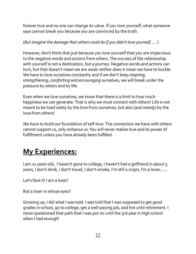forever true and no one can change its value. If you love yourself, what someone says cannot break you because you are convinced by the truth.

(*But imagine the damage that others could do if you didn't love yourself......*)

However, don't think that just because you love yourself that you are impervious to the negative words and actions from others. The success of the relationship with yourself is not a destination, but a journey. Negative words and actions can hurt, but that doesn't mean we are weak neither does it mean we have to buckle. We have to love ourselves constantly and if we don't keep *inspiring*, *strengthening, comforting* and *encouraging* ourselves, we will break under the pressure by others and by life.

Even when we love ourselves, we know that there is a limit to how much happiness we can generate. That is why we must connect with others! Life is not meant to be lived solely by the love from ourselves, but also (*and mainly*) by the love from others!

We have to build our foundation of self-love. The connection we have with others cannot support us, only enhance us. You will never realize love and its power of fulfillment unless you have already been fulfilled.

### **My Experiences:**

I am 21 years old, I haven't gone to college, I haven't had a girlfriend in about  $\zeta$ years, I don't drink, I don't travel, I don't smoke, I'm still a virgin, I'm a loner......

Let's face it! I am a loser!

But a loser in whose eyes?

Growing up, I did what I was told. I was told that I was supposed to get good grades in school, go to college, get a well-paying job, and live until retirement. I never questioned that path that I was put on until the 3rd year in high school when I had enough!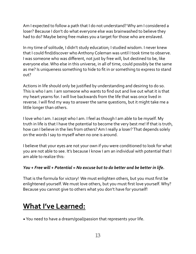Am I expected to follow a path that I do not understand? Why am I considered a loser? Because I don't do what everyone else was brainwashed to believe they had to do? Maybe being free makes you a target for those who are enslaved.

In my time of solitude, I didn't study education; I studied wisdom. I never knew that I could find/discover who Anthony Coleman was until I took time to observe. I was someone who was different, not just by free will, but destined to be, like everyone else. Who else in this universe, in all of time, could possibly be the same as me? Is uniqueness something to hide to fit in or something to express to stand out? 

Actions in life should only be justified by understanding and desiring to do so. This is who I am: I am someone who wants to find out and live out what it is that my heart yearns for. I will live backwards from the life that was once lived in reverse. I will find my way to answer the same questions, but it might take me a little longer than others.

I love who I am. I accept who I am. I feel as though I am able to be myself. My truth in life is that I have the potential to become the very best me! If that is truth, how can I believe in the lies from others? Am I really a loser? That depends solely on the words I say to myself when no one is around.

I believe that your eyes are not your own if you were conditioned to look for what you are not able to see. It's because I know I am an individual with potential that I am able to realize this:

#### *You* + Free will + Potential = No excuse but to do better and be better in life.

That is the formula for victory! We must enlighten others, but you must first be enlightened yourself. We must love others, but you must first love yourself. Why? Because you cannot give to others what you don't have for yourself!

#### **What I've Learned:**

• You need to have a dream/goal/passion that represents your life.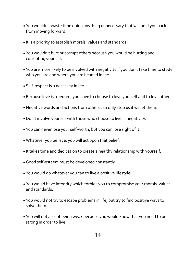- You wouldn't waste time doing anything unnecessary that will hold you back from moving forward.
- It is a priority to establish morals, values and standards.
- You wouldn't hurt or corrupt others because you would be hurting and corrupting yourself.
- You are more likely to be involved with negativity if you don't take time to study who you are and where you are headed in life.
- Self-respect is a necessity in life.
- Because love is freedom, you have to choose to love yourself and to love others.
- Negative words and actions from others can only stop us if we let them.
- Don't involve yourself with those who choose to live in negativity.
- You can never lose your self-worth, but you can lose sight of it.
- Whatever you believe, you will act upon that belief.
- It takes time and dedication to create a healthy relationship with yourself.
- Good self-esteem must be developed constantly.
- You would do whatever you can to live a positive lifestyle.
- You would have integrity which forbids you to compromise your morals, values and standards.
- You would not try to escape problems in life, but try to find positive ways to solve them.
- You will not accept being weak because you would know that you need to be strong in order to live.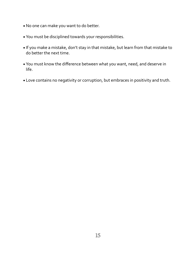- No one can make you want to do better.
- You must be disciplined towards your responsibilities.
- If you make a mistake, don't stay in that mistake, but learn from that mistake to do better the next time.
- You must know the difference between what you want, need, and deserve in life.
- Love contains no negativity or corruption, but embraces in positivity and truth.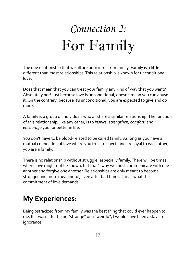## *Connection 2:* For Family

The one relationship that we all are born into is our family. Family is a little different than most relationships. This relationship is known for unconditional love. 

Does that mean that you can treat your family any kind of way that you want? Absolutely not! Just because love is unconditional, doesn't mean you can abuse it. On the contrary, because it's unconditional, you are expected to give and do more.

A family is a group of individuals who all share a similar relationship. The function of this relationship, like any other, is to *inspire*, *strengthen*, *comfort*, and *encourage* you for better in life.

You don't have to be blood-related to be called family. As long as you have a mutual connection of love where you trust, respect, and are loyal to each other, you are a family.

There is no relationship without struggle, especially family. There will be times where love might not be shown, but that's why we must communicate with one another and forgive one another. Relationships are only meant to become stronger and more meaningful, even after bad times. This is what the commitment of love demands!

### **My Experiences:**

Being ostracized from my family was the best thing that could ever happen to me. If it wasn't for being "strange" or a "weirdo", I would have been a slave to ignorance.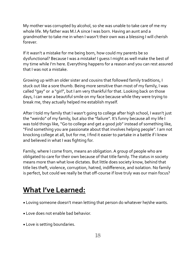My mother was corrupted by alcohol, so she was unable to take care of me my whole life. My father was M.I.A since I was born. Having an aunt and a grandmother to take me in when I wasn't their own was a blessing I will cherish forever. 

If it wasn't a mistake for me being born, how could my parents be so dysfunctional? Because I was a mistake! I quess I might as well make the best of my time while I'm here. Everything happens for a reason and you can rest assured that I was not a mistake.

Growing up with an older sister and cousins that followed family traditions, I stuck out like a sore thumb. Being more sensitive than most of my family, I was called "gay" or a "girl", but I am very thankful for that. Looking back on those days, I can wear a beautiful smile on my face because while they were trying to break me, they actually helped me establish myself.

After I told my family that I wasn't going to college after high school, I wasn't just the "weirdo" of my family, but also the "failure". It's funny because all my life I was told things like, "Go to college and get a good job" instead of something like, "Find something you are passionate about that involves helping people". I am not knocking college at all, but for me, I find it easier to partake in a battle if I knew and believed in what I was fighting for.

Family, where I come from, means an obligation. A group of people who are obligated to care for their own because of that title family. The status in society means more than what love dictates. But little does society know, behind that title lies theft, violence, corruption, hatred, indifference, and isolation. No family is perfect, but could we really be that off-course if love truly was our main focus?

#### **What I've Learned:**

- Loving someone doesn't mean letting that person do whatever he/she wants.
- Love does not enable bad behavior.
- Love is setting boundaries.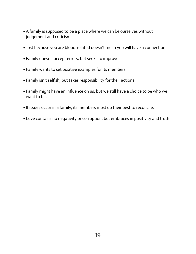- A family is supposed to be a place where we can be ourselves without judgement and criticism.
- Just because you are blood-related doesn't mean you will have a connection.
- Family doesn't accept errors, but seeks to improve.
- Family wants to set positive examples for its members.
- Family isn't selfish, but takes responsibility for their actions.
- Family might have an influence on us, but we still have a choice to be who we want to be.
- If issues occur in a family, its members must do their best to reconcile.
- Love contains no negativity or corruption, but embraces in positivity and truth.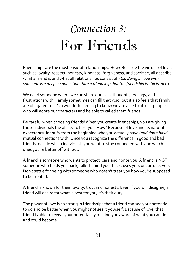## *Connection 3:* For Friends

Friendships are the most basic of relationships. How? Because the virtues of love, such as loyalty, respect, honesty, kindness, forgiveness, and sacrifice, all describe what a friend is and what all relationships consist of. (*Ex. Being in love with* someone is a deeper connection than a friendship, but the friendship is still intact.)

We need someone where we can share our lives, thoughts, feelings, and frustrations with. Family sometimes can fill that void, but it also feels that family are obligated to. It's a wonderful feeling to know we are able to attract people who will adore our characters and be able to called them friends.

Be careful when choosing friends! When you create friendships, you are giving those individuals the ability to hurt you. How? Because of love and its natural expectancy. Identify from the beginning who you actually have (*and don't have*) mutual connections with. Once you recognize the difference in good and bad friends, decide which individuals you want to stay connected with and which ones you're better off without.

A friend is someone who wants to protect, care and honor you. A friend is NOT someone who holds you back, talks behind your back, uses you, or corrupts you. Don't settle for being with someone who doesn't treat you how you're supposed to be treated.

A friend is known for their loyalty, trust and honesty. Even if you will disagree, a friend will desire for what is best for you; it's their duty.

The power of love is so strong in friendships that a friend can see your potential to do and be better when you might not see it yourself. Because of love, that friend is able to reveal your potential by making you aware of what you can do and could become.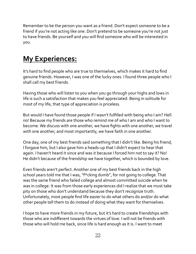Remember to be the person you want as a friend. Don't expect someone to be a friend if you're not acting like one. Don't pretend to be someone you're not just to have friends. Be yourself and you will find someone who will be interested in you. 

### **My Experiences:**

It's hard to find people who are true to themselves, which makes it hard to find genuine friends. However, I was one of the lucky ones. I found three people who I shall call my best friends.

Having those who will listen to you when you go through your highs and lows in life is such a satisfaction that makes you feel appreciated. Being in solitude for most of my life, that type of appreciation is priceless.

But would I have found those people if I wasn't fulfilled with being who I am? Hell no! Because my friends are those who remind me of who I am and who I want to become. We discuss with one another, we have fights with one another, we travel with one another, and most importantly, we have faith in one another.

One day, one of my best friends said something that I didn't like. Being his friend, I forgave him, but I also gave him a heads-up that I didn't expect to hear that again. I haven't heard it since and was it because I forced him not to say it? No! He didn't because of the friendship we have together, which is bounded by love.

Even friends aren't perfect. Another one of my best friends back in the high school years told me that I was, "f\*cking dumb", for not going to college. That was the same friend who failed college and almost committed suicide when he was in college. It was from those early experiences did I realize that we must take pity on those who don't understand because they don't recognize truth. Unfortunately, most people find life easier to do what others do and/or do what other people tell them to do instead of doing what they want for themselves.

I hope to have more friends in my future, but it's hard to create friendships with those who are indifferent towards the virtues of love. I will not be friends with those who will hold me back, since life is hard enough as it is. I want to meet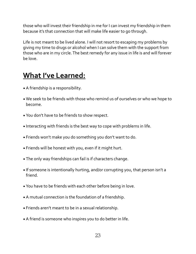those who will invest their friendship in me for I can invest my friendship in them because it's that connection that will make life easier to go through.

Life is not meant to be lived alone. I will not resort to escaping my problems by giving my time to drugs or alcohol when I can solve them with the support from those who are in my circle. The best remedy for any issue in life is and will forever be love.

#### **What I've Learned:**

- A friendship is a responsibility.
- We seek to be friends with those who remind us of ourselves or who we hope to become.
- You don't have to be friends to show respect.
- Interacting with friends is the best way to cope with problems in life.
- Friends won't make you do something you don't want to do.
- Friends will be honest with you, even if it might hurt.
- The only way friendships can fail is if characters change.
- If someone is intentionally hurting, and/or corrupting you, that person isn't a friend.
- You have to be friends with each other before being in love.
- A mutual connection is the foundation of a friendship.
- Friends aren't meant to be in a sexual relationship.
- A friend is someone who inspires you to do better in life.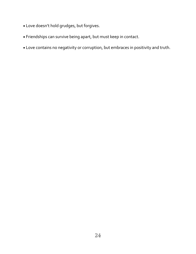- Love doesn't hold grudges, but forgives.
- Friendships can survive being apart, but must keep in contact.
- Love contains no negativity or corruption, but embraces in positivity and truth.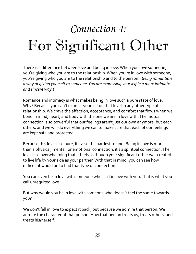### *Connection 4:*

## For Significant Other

There is a difference between love and being in love. When you love someone, you're giving who you are to the relationship. When you're in love with someone, you're giving who you are to the relationship and to the person. (*Being romantic is a* way of giving yourself to someone. You are expressing yourself in a more intimate *and sincere way.*)

Romance and intimacy is what makes being in love such a pure state of love. Why? Because you can't express yourself on that level in any other type of relationship. We crave the affection, acceptance, and comfort that flows when we bond in mind, heart, and body with the one we are in love with. The mutual connection is so powerful that our feelings aren't just our own anymore, but each others, and we will do everything we can to make sure that each of our feelings are kept safe and protected.

Because this love is so pure, it's also the hardest to find. Being in love is more than a physical, mental, or emotional connection; it's a spiritual connection. The love is so overwhelming that it feels as though your significant other was created to live life by your side as your partner. With that in mind, you can see how difficult it would be to find that type of connection.

You can even be in love with someone who isn't in love with you. That is what you call unrequited love.

But why would you be in love with someone who doesn't feel the same towards you? 

We don't fall in love to expect it back, but because we admire that person. We admire the character of that person: How that person treats us, treats others, and treats his/herself.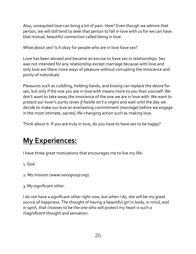Also, unrequited love can bring a lot of pain. How? Even though we admire that person, we will still tend to seek that person to fall in love with us for we can have that mutual, beautiful connection called being in love.

What about sex? Is it okay for people who are in love have sex?

Love has been abused and became an excuse to have sex in relationships. Sex was not intended for any relationship except marriage because with love and only love are there more ways of pleasure without corrupting the innocence and purity of individuals.

Pleasures such as cuddling, holding hands, and kissing can replace the desire for sex, but only if the one you are in love with means more to you than yourself. We don't want to take away the innocence of the one we are in love with. We want to protect our lover's purity (*even if he/she isn't a virgin*) and wait until the day we decide to make our love an everlasting commitment (*marriage*) before we engage in the most intimate, sacred, life-changing action such as making love.

Think about it: If you are truly in love, do you have to have sex to be happy?

### **My Experiences:**

I have three great motivations that encourages me to live my life:

1. God.

- 2. My mission (*[www.voicegroup.org](http://www.voicegroup.org)*).
- 3. My significant other.

I do not have a significant other right now, but when I do, she will be my great source of happiness. The thought of having a beautiful girl in body, in mind, and in spirit, that chooses to be the one who will protect my heart is such a magnificent thought and sensation.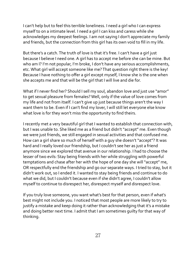I can't help but to feel this terrible loneliness. I need a girl who I can express myself to on a intimate level. I need a girl I can kiss and caress while she acknowledges my deepest feelings. I am not saying I don't appreciate my family and friends, but the connection from this girl has its own void to fill in my life.

But there's a catch. The truth of love is that it's free. I can't have a girl just because I believe I need one. A girl has to accept me before she can be mine. But who am I? I'm not popular, I'm broke, I don't have any serious accomplishments, etc. What girl will accept someone like me? That question right there is the key! Because I have nothing to offer a girl except myself, I know she is the one when she accepts me and that will be the girl that I will live and die for.

What if I never find her? Should I sell my soul, abandon love and just use "amor" to get sexual pleasure from females? Well, only if the value of love comes from my life and not from itself. I can't give up just because things aren't the way I want them to be. Even if I can't find my lover, I will still let everyone else know what love is for they won't miss the opportunity to find theirs.

I recently met a very beautiful girl that I wanted to establish that connection with, but I was unable to. She liked me as a friend but didn't "accept" me. Even though we were just friends, we still engaged in sexual activities and that confused me. How can a girl share so much of herself with a guy she doesn't "accept"? It was hard and I really loved our friendship, but I couldn't see her as just a friend anymore since we explored that avenue in our relationship. I had to choose the lesser of two evils: Stay being friends with her while struggling with powerful temptations and chase after her with the hope of one day she will "accept" me, OR respectfully end the friendship and go our separate ways. I tried to stay, but it didn't work out, so I ended it. I wanted to stay being friends and continue to do what we did, but I couldn't because even if she didn't agree, I couldn't allow myself to continue to disrespect her, disrespect myself and disrespect love.

If you truly love someone, you want what's best for that person, even if what's best might not include you. I noticed that most people are more likely to try to justify a mistake and keep doing it rather than acknowledging that it's a mistake and doing better next time. I admit that I am sometimes guilty for that way of thinking.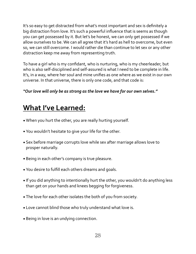It's so easy to get distracted from what's most important and sex is definitely a big distraction from love. It's such a powerful influence that is seems as though you can get possessed by it. But let's be honest, we can only get possessed if we allow ourselves to be. We can all agree that it's hard as hell to overcome, but even so, we can still overcome. I would rather die than continue to let sex or any other distraction keep me away from representing truth.

To have a girl who is my confidant, who is nurturing, who is my cheerleader, but who is also self-disciplined and self-assured is what I need to be complete in life. It's, in a way, where her soul and mine unifies as one where as we exist in our own universe. In that universe, there is only one code, and that code is:

#### "Our love will only be as strong as the love we have for our own selves."

#### **What I've Learned:**

- When you hurt the other, you are really hurting yourself.
- You wouldn't hesitate to give your life for the other.
- Sex before marriage corrupts love while sex after marriage allows love to prosper naturally.
- Being in each other's company is true pleasure.
- You desire to fulfill each others dreams and goals.
- If you did anything to intentionally hurt the other, you wouldn't do anything less than get on your hands and knees begging for forgiveness.
- The love for each other isolates the both of you from society.
- Love cannot blind those who truly understand what love is.
- Being in love is an undying connection.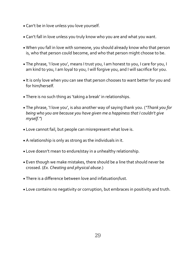- Can't be in love unless you love yourself.
- Can't fall in love unless you truly know who you are and what you want.
- When you fall in love with someone, you should already know who that person is, who that person could become, and who that person might choose to be.
- The phrase, 'I love you', means I trust you, I am honest to you, I care for you, I am kind to you, I am loyal to you, I will forgive you, and I will sacrifice for you.
- It is only love when you can see that person chooses to want better for you and for him/herself.
- There is no such thing as 'taking a break' in relationships.
- The phrase, *'I* love you', is also another way of saying thank you. ("Thank you for *being* who you are because you have given me a happiness that I couldn't give *myself."*)
- Love cannot fail, but people can misrepresent what love is.
- A relationship is only as strong as the individuals in it.
- Love doesn't mean to endure/stay in a unhealthy relationship.
- Even though we make mistakes, there should be a line that should never be crossed. (*Ex. Cheating and physical abuse.*)
- There is a difference between love and infatuation/lust.
- Love contains no negativity or corruption, but embraces in positivity and truth.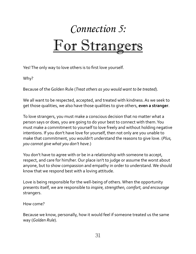## *Connection 5:* For Strangers

Yes! The only way to love others is to first love yourself.

Why? 

Because of the Golden Rule (*Treat others as you would want to be treated*).

We all want to be respected, accepted, and treated with kindness. As we seek to get those qualities, we also have those qualities to give others, **even a stranger**.

To love strangers, you must make a conscious decision that no matter what a person says or does, you are going to do your best to connect with them. You must make a commitment to yourself to love freely and without holding negative intentions. If you don't have love for yourself, then not only are you unable to make that commitment, you wouldn't understand the reasons to give love. (Plus, *you cannot give what you don't have.*)

You don't have to agree with or be in a relationship with someone to accept, respect, and care for him/her. Our place isn't to judge or assume the worst about anyone, but to show compassion and empathy in order to understand. We should know that we respond best with a loving attitude.

Love is being responsible for the well-being of others. When the opportunity presents itself, we are responsible to *inspire*, *strengthen, comfort, and encourage* strangers. 

How come?

Because we know, personally, how it would feel if someone treated us the same way (*Golden Rule*).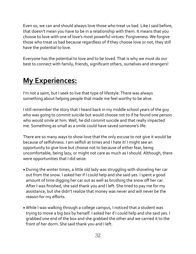Even so, we can and should always love those who treat us bad. Like I said before, that doesn't mean you have to be in a relationship with them. It means that you choose to love with one of love's most powerful virtues: Forgiveness. We forgive those who treat us bad because regardless of if they choose love or not, they still have the potential to love.

Everyone has the potential to love and to be loved. That is why we must do our best to connect with family, friends, significant others, ourselves and strangers!

### **My Experiences:**

I'm not a saint, but I seek to live that type of lifestyle. There was always something about helping people that made me feel worthy to be alive.

I still remember the story that I heard back in my middle school years of the quy who was going to commit suicide but would choose not to if he found one person who would smile at him. Well, he did commit suicide and that really impacted me. Something as small as a smile could have saved someone's life.

There are so many ways to show love that the only excuse to not give it would be because of selfishness. I am selfish at times and I hate it! I might see an opportunity to give love but choose not to because of either fear, being uncomfortable, being lazy, or might not care as much as I should. Although, there were opportunities that I did seize:

- During the winter times, a little old lady was struggling with shoveling her car out from the snow. I asked her if I could help and she said yes. I spent a good amount of time digging her car out as well as brushing the snow off her car. After I was finished, she said thank you and I left. She tried to pay me for my assistance, but she didn't realize that money was never and will never be the reason for my efforts.
- While I was walking through a college campus, I noticed that a student was trying to move a big box by herself. I asked her if I could help and she said yes. I grabbed one end of the box and she grabbed the other and we carried it to the front of her dorm. She said thank you and I left.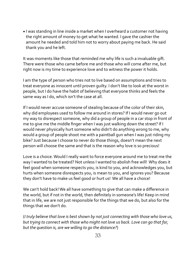• I was standing in line inside a market when I overheard a customer not having the right amount of money to get what he wanted. I gave the cashier the amount he needed and told him not to worry about paying me back. He said thank you and he left.

It was moments like those that reminded me why life is such a invaluable gift. There were those who came before me and those who will come after me, but right now is my time to experience love and to witness the power it holds.

I am the type of person who tries not to live based on assumptions and tries to treat everyone as innocent until proven quilty. I don't like to look at the worst in people, but I do have the habit of believing that everyone thinks and feels the same way as I do, which isn't the case at all.

If I would never accuse someone of stealing because of the color of their skin, why did employees used to follow me around in stores? If I would never go out my way to disrespect someone, why did a group of people in a car stop in front of me to give me the middle finger when I was just walking down the street? If I would never physically hurt someone who didn't do anything wrong to me, why would a group of people shoot me with a paintball gun when I was just riding my bike? Just because I choose to never do those things, doesn't mean the next person will choose the same and that is the reason why love is so precious!

Love is a choice. Would I really want to force everyone around me to treat me the way I wanted to be treated? Not unless I wanted to abolish free will! Why does it feel good when someone respects you, is kind to you, and acknowledges you, but hurts when someone disrespects you, is mean to you, and ignores you? Because they don't have to make us feel good or hurt us! We all have a choice!

We can't hold back! We all have something to give that can make a difference in the world, but if not in the world, then definitely in someone's life! Keep in mind that in life, we are not just responsible for the things that we do, but also for the things that we don't do.

(*I* truly believe that love is best shown by not just connecting with those who love us, *but trying to connect with those who might not love us back. Love can go that far, but the question is, are we willing to go the distance?*)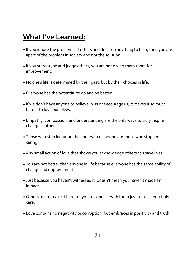#### **What I've Learned:**

- If you ignore the problems of others and don't do anything to help, then you are apart of the problem in society and not the solution.
- If you stereotype and judge others, you are not giving them room for improvement.
- No one's life is determined by their past, but by their choices in life.
- Everyone has the potential to do and be better.
- If we don't have anyone to believe in us or encourage us, it makes it so much harder to love ourselves.
- Empathy, compassion, and understanding are the only ways to truly inspire change in others.
- Those who stop lecturing the ones who do wrong are those who stopped caring.
- Any small action of love that shows you acknowledge others can save lives.
- You are not better than anyone in life because everyone has the same ability of change and improvement.
- Just because you haven't witnessed it, doesn't mean you haven't made an impact.
- Others might make it hard for you to connect with them just to see if you truly care.
- Love contains no negativity or corruption, but embraces in positivity and truth.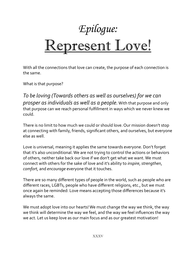## *Epilogue:* Represent Love!

With all the connections that love can create, the purpose of each connection is the same.

What is that purpose?

To be loving (Towards others as well as ourselves) for we can *prosper as individuals as well as a people.* With that purpose and only that purpose can we reach personal fulfillment in ways which we never knew we could. 

There is no limit to how much we could or should love. Our mission doesn't stop at connecting with family, friends, significant others, and ourselves, but everyone else as well.

Love is universal, meaning it applies the same towards everyone. Don't forget that it's also unconditional. We are not trying to control the actions or behaviors of others, neither take back our love if we don't get what we want. We must connect with others for the sake of love and it's ability to *inspire*, *strengthen*, *comfort*, and *encourage* everyone that it touches.

There are so many different types of people in the world, such as people who are different races, LGBTs, people who have different religions, etc., but we must once again be reminded: Love means accepting those differences because it's always the same.

We must adopt love into our hearts! We must change the way we think, the way we think will determine the way we feel, and the way we feel influences the way we act. Let us keep love as our main focus and as our greatest motivation!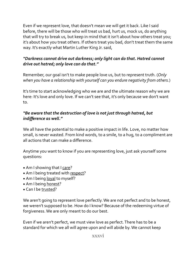Even if we represent love, that doesn't mean we will get it back. Like I said before, there will be those who will treat us bad, hurt us, mock us, do anything that will try to break us, but keep in mind that it isn't about how others treat you; it's about how you treat others. If others treat you bad, don't treat them the same way. It's exactly what Martin Luther King Jr. said,

#### *"Darkness cannot drive out darkness; only light can do that. Hatred cannot*  drive out hatred; only love can do that."

Remember, our goal isn't to make people love us, but to represent truth. (Only when you have a relationship with yourself can you endure negativity from others.)

It's time to start acknowledging who we are and the ultimate reason why we are here: It's love and only love. If we can't see that, it's only because we don't want to. 

#### **"Be aware that the destruction of love is not just through hatred, but** *indifference as well."*

We all have the potential to make a positive impact in life. Love, no matter how small, is never wasted. From kind words, to a smile, to a hug, to a compliment are all actions that can make a difference.

Anytime you want to know if you are representing love, just ask yourself some questions:

- Am I showing that I care?
- Am I being treated with respect?
- Am I being loyal to myself?
- Am I being honest?
- Can I be trusted?

We aren't going to represent love perfectly. We are not perfect and to be honest, we weren't supposed to be. How do I know? Because of the redeeming virtue of forgiveness. We are only meant to do our best.

Even if we aren't perfect, we must view love as perfect. There has to be a standard for which we all will agree upon and will abide by. We cannot keep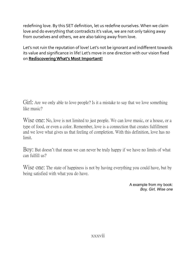redefining love. By this SET definition, let us redefine ourselves. When we claim love and do everything that contradicts it's value, we are not only taking away from ourselves and others, we are also taking away from love.

Let's not ruin the reputation of love! Let's not be ignorant and indifferent towards its value and significance in life! Let's move in one direction with our vision fixed on **Rediscovering What's Most Important!** 

Girl: Are we only able to love people? Is it a mistake to say that we love something like music?

Wise one: No, love is not limited to just people. We can love music, or a house, or a type of food, or even a color. Remember, love is a connection that creates fulfillment and we love what gives us that feeling of completion. With this definition, love has no limit.

Boy: But doesn't that mean we can never be truly happy if we have no limits of what can fulfill us?

W<sub>ise</sub> one: The state of happiness is not by having everything you could have, but by being satisfied with what you do have.

> A example from my book: *Boy, Girl, Wise one*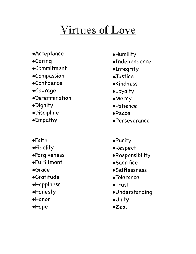## Virtues of Love

- •Acceptance
- •Caring
- •Commitment
- •Compassion
- •Confidence
- •Courage
- •Determination
- •Dignity
- •Discipline
- •Empathy
- •Faith
- •Fidelity
- •Forgiveness
- •Fulfillment
- •Grace
- •Gratitude
- **•Happiness**
- •Honesty
- •Honor
- •Hope
- •Humility
- •Independence
- •Integrity
- •Justice
- •Kindness
- •Loyalty
- •Mercy
- •Patience
- •Peace
- •Perseverance
- •Purity
- •Respect
- •Responsibility
- **•Sacrifice**
- •Selflessness
- •Tolerance
- •Trust
- •Understanding
- •Unity
- •Zeal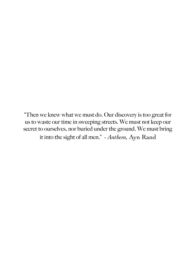"Then we knew what we must do. Our discovery is too great for us to waste our time in sweeping streets. We must not keep our secret to ourselves, nor buried under the ground. We must bring it into the sight of all men." *- Anthem,* Ayn Rand